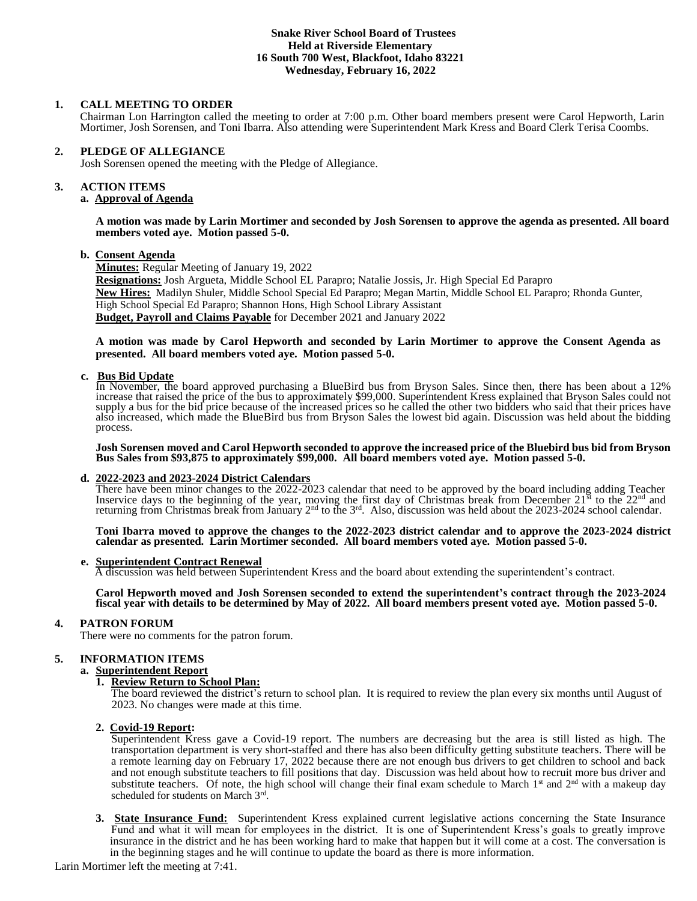### **Snake River School Board of Trustees Held at Riverside Elementary 16 South 700 West, Blackfoot, Idaho 83221 Wednesday, February 16, 2022**

### **1. CALL MEETING TO ORDER**

Chairman Lon Harrington called the meeting to order at 7:00 p.m. Other board members present were Carol Hepworth, Larin Mortimer, Josh Sorensen, and Toni Ibarra. Also attending were Superintendent Mark Kress and Board Clerk Terisa Coombs.

### **2. PLEDGE OF ALLEGIANCE**

Josh Sorensen opened the meeting with the Pledge of Allegiance.

# **3. ACTION ITEMS**

## **a. Approval of Agenda**

#### **A motion was made by Larin Mortimer and seconded by Josh Sorensen to approve the agenda as presented. All board members voted aye. Motion passed 5-0.**

### **b. Consent Agenda**

**Minutes:** Regular Meeting of January 19, 2022 **Resignations:** Josh Argueta, Middle School EL Parapro; Natalie Jossis, Jr. High Special Ed Parapro **New Hires:** Madilyn Shuler, Middle School Special Ed Parapro; Megan Martin, Middle School EL Parapro; Rhonda Gunter, High School Special Ed Parapro; Shannon Hons, High School Library Assistant **Budget, Payroll and Claims Payable** for December 2021 and January 2022

### **A motion was made by Carol Hepworth and seconded by Larin Mortimer to approve the Consent Agenda as presented. All board members voted aye. Motion passed 5-0.**

### **c. Bus Bid Update**

In November, the board approved purchasing a BlueBird bus from Bryson Sales. Since then, there has been about a 12% increase that raised the price of the bus to approximately \$99,000. Superintendent Kress explained that Bryson Sales could not supply a bus for the bid price because of the increased prices so he called the other two bidders who said that their prices have also increased, which made the BlueBird bus from Bryson Sales the lowest bid again. Discussion was held about the bidding process.

**Josh Sorensen moved and Carol Hepworth seconded to approve the increased price of the Bluebird bus bid from Bryson Bus Sales from \$93,875 to approximately \$99,000. All board members voted aye. Motion passed 5-0.**

### **d. 2022-2023 and 2023-2024 District Calendars**

There have been minor changes to the 2022-2023 calendar that need to be approved by the board including adding Teacher Inservice days to the beginning of the year, moving the first day of Christmas break from December  $21^{st}$  to the  $22^{nd}$  and returning from Christmas break from January 2<sup>nd</sup> to the 3<sup>rd</sup>. Also, discussion was held about the 2023-2024 school calendar.

**Toni Ibarra moved to approve the changes to the 2022-2023 district calendar and to approve the 2023-2024 district calendar as presented. Larin Mortimer seconded. All board members voted aye. Motion passed 5-0.**

# **e. Superintendent Contract Renewal**

A discussion was held between Superintendent Kress and the board about extending the superintendent's contract.

**Carol Hepworth moved and Josh Sorensen seconded to extend the superintendent's contract through the 2023-2024 fiscal year with details to be determined by May of 2022. All board members present voted aye. Motion passed 5-0.**

### **4. PATRON FORUM**

There were no comments for the patron forum.

# **5. INFORMATION ITEMS**

# **a. Superintendent Report**

# **1. Review Return to School Plan:**

The board reviewed the district's return to school plan. It is required to review the plan every six months until August of 2023. No changes were made at this time.

### **2. Covid-19 Report:**

Superintendent Kress gave a Covid-19 report. The numbers are decreasing but the area is still listed as high. The transportation department is very short-staffed and there has also been difficulty getting substitute teachers. There will be a remote learning day on February 17, 2022 because there are not enough bus drivers to get children to school and back and not enough substitute teachers to fill positions that day. Discussion was held about how to recruit more bus driver and substitute teachers. Of note, the high school will change their final exam schedule to March 1<sup>st</sup> and  $2<sup>nd</sup>$  with a makeup day scheduled for students on March 3rd.

**3. State Insurance Fund:** Superintendent Kress explained current legislative actions concerning the State Insurance Fund and what it will mean for employees in the district. It is one of Superintendent Kress's goals to greatly improve insurance in the district and he has been working hard to make that happen but it will come at a cost. The conversation is in the beginning stages and he will continue to update the board as there is more information.

Larin Mortimer left the meeting at 7:41.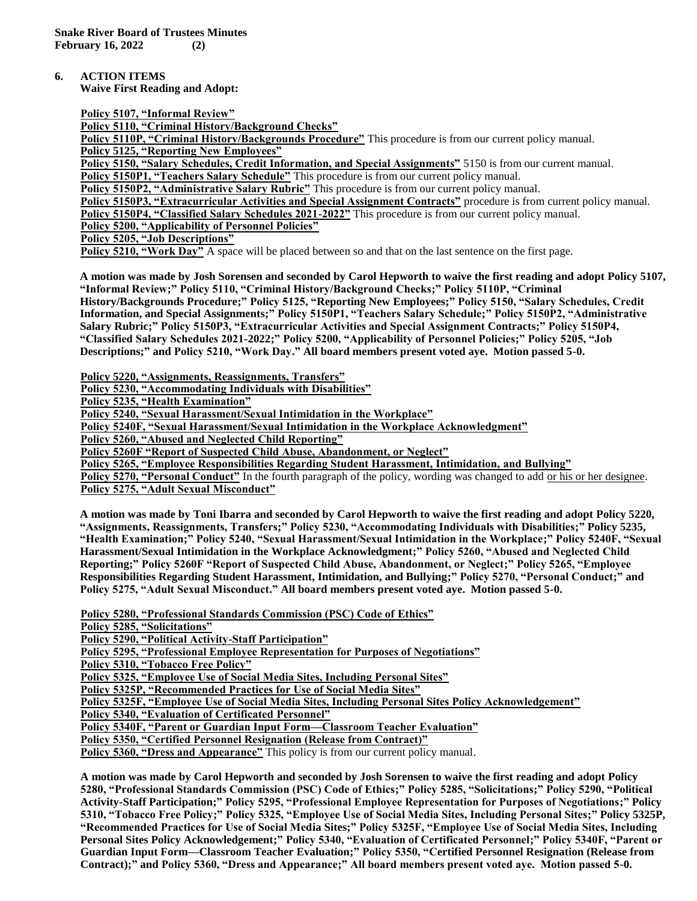**6. ACTION ITEMS**

**Waive First Reading and Adopt:**

**Policy 5107, "Informal Review"**

**Policy 5110, "Criminal History/Background Checks"**

**Policy 5110P, "Criminal History/Backgrounds Procedure"** This procedure is from our current policy manual. **Policy 5125, "Reporting New Employees"**

**Policy 5150, "Salary Schedules, Credit Information, and Special Assignments"** 5150 is from our current manual.

**Policy 5150P1, "Teachers Salary Schedule"** This procedure is from our current policy manual.

**Policy 5150P2, "Administrative Salary Rubric"** This procedure is from our current policy manual.

Policy 5150P3, "Extracurricular Activities and Special Assignment Contracts" procedure is from current policy manual.

**Policy 5150P4, "Classified Salary Schedules 2021-2022"** This procedure is from our current policy manual.

**Policy 5200, "Applicability of Personnel Policies"**

**Policy 5205, "Job Descriptions"**

Policy 5210, "Work Day" A space will be placed between so and that on the last sentence on the first page.

**A motion was made by Josh Sorensen and seconded by Carol Hepworth to waive the first reading and adopt Policy 5107, "Informal Review;" Policy 5110, "Criminal History/Background Checks;" Policy 5110P, "Criminal History/Backgrounds Procedure;" Policy 5125, "Reporting New Employees;" Policy 5150, "Salary Schedules, Credit Information, and Special Assignments;" Policy 5150P1, "Teachers Salary Schedule;" Policy 5150P2, "Administrative Salary Rubric;" Policy 5150P3, "Extracurricular Activities and Special Assignment Contracts;" Policy 5150P4, "Classified Salary Schedules 2021-2022;" Policy 5200, "Applicability of Personnel Policies;" Policy 5205, "Job Descriptions;" and Policy 5210, "Work Day." All board members present voted aye. Motion passed 5-0.**

**Policy 5220, "Assignments, Reassignments, Transfers"**

**Policy 5230, "Accommodating Individuals with Disabilities"**

**Policy 5235, "Health Examination"**

**Policy 5240, "Sexual Harassment/Sexual Intimidation in the Workplace"**

**Policy 5240F, "Sexual Harassment/Sexual Intimidation in the Workplace Acknowledgment"**

**Policy 5260, "Abused and Neglected Child Reporting"**

**Policy 5260F "Report of Suspected Child Abuse, Abandonment, or Neglect"**

**Policy 5265, "Employee Responsibilities Regarding Student Harassment, Intimidation, and Bullying"**

**Policy 5270, "Personal Conduct"** In the fourth paragraph of the policy, wording was changed to add or his or her designee. **Policy 5275, "Adult Sexual Misconduct"**

**A motion was made by Toni Ibarra and seconded by Carol Hepworth to waive the first reading and adopt Policy 5220, "Assignments, Reassignments, Transfers;" Policy 5230, "Accommodating Individuals with Disabilities;" Policy 5235, "Health Examination;" Policy 5240, "Sexual Harassment/Sexual Intimidation in the Workplace;" Policy 5240F, "Sexual Harassment/Sexual Intimidation in the Workplace Acknowledgment;" Policy 5260, "Abused and Neglected Child Reporting;" Policy 5260F "Report of Suspected Child Abuse, Abandonment, or Neglect;" Policy 5265, "Employee Responsibilities Regarding Student Harassment, Intimidation, and Bullying;" Policy 5270, "Personal Conduct;" and Policy 5275, "Adult Sexual Misconduct." All board members present voted aye. Motion passed 5-0.**

**Policy 5280, "Professional Standards Commission (PSC) Code of Ethics"**

**Policy 5285, "Solicitations"**

**Policy 5290, "Political Activity-Staff Participation"**

**Policy 5295, "Professional Employee Representation for Purposes of Negotiations"**

**Policy 5310, "Tobacco Free Policy"**

**Policy 5325, "Employee Use of Social Media Sites, Including Personal Sites"**

**Policy 5325P, "Recommended Practices for Use of Social Media Sites"**

**Policy 5325F, "Employee Use of Social Media Sites, Including Personal Sites Policy Acknowledgement"**

**Policy 5340, "Evaluation of Certificated Personnel"**

**Policy 5340F, "Parent or Guardian Input Form—Classroom Teacher Evaluation"**

**Policy 5350, "Certified Personnel Resignation (Release from Contract)"**

**Policy 5360, "Dress and Appearance"** This policy is from our current policy manual.

**A motion was made by Carol Hepworth and seconded by Josh Sorensen to waive the first reading and adopt Policy 5280, "Professional Standards Commission (PSC) Code of Ethics;" Policy 5285, "Solicitations;" Policy 5290, "Political Activity-Staff Participation;" Policy 5295, "Professional Employee Representation for Purposes of Negotiations;" Policy 5310, "Tobacco Free Policy;" Policy 5325, "Employee Use of Social Media Sites, Including Personal Sites;" Policy 5325P, "Recommended Practices for Use of Social Media Sites;" Policy 5325F, "Employee Use of Social Media Sites, Including Personal Sites Policy Acknowledgement;" Policy 5340, "Evaluation of Certificated Personnel;" Policy 5340F, "Parent or Guardian Input Form—Classroom Teacher Evaluation;" Policy 5350, "Certified Personnel Resignation (Release from Contract);" and Policy 5360, "Dress and Appearance;" All board members present voted aye. Motion passed 5-0.**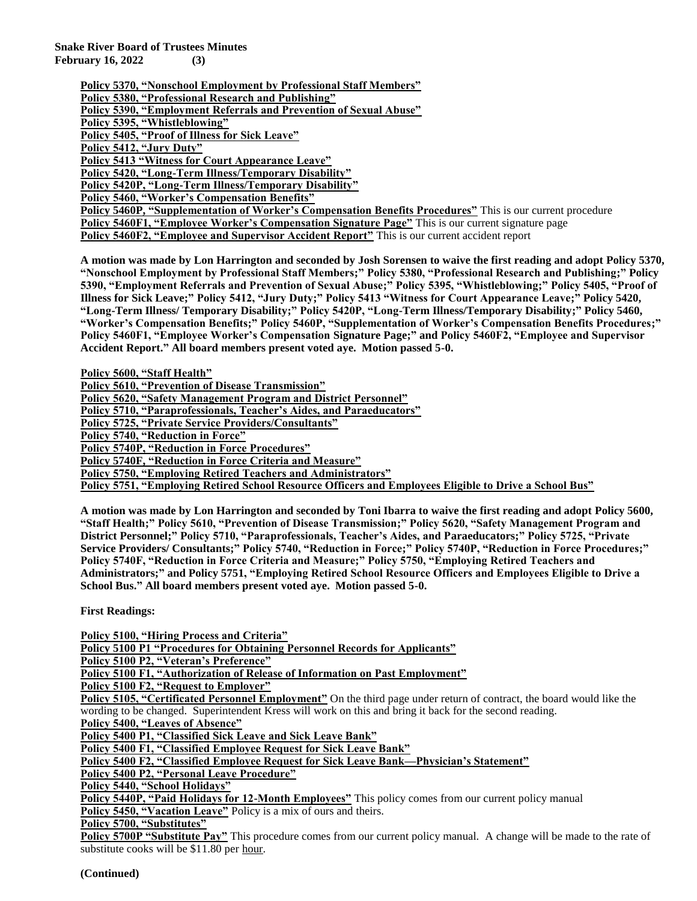**Snake River Board of Trustees Minutes February 16, 2022 (3)**

> **Policy 5370, "Nonschool Employment by Professional Staff Members" Policy 5380, "Professional Research and Publishing" Policy 5390, "Employment Referrals and Prevention of Sexual Abuse" Policy 5395, "Whistleblowing" Policy 5405, "Proof of Illness for Sick Leave" Policy 5412, "Jury Duty" Policy 5413 "Witness for Court Appearance Leave" Policy 5420, "Long-Term Illness/Temporary Disability" Policy 5420P, "Long-Term Illness/Temporary Disability" Policy 5460, "Worker's Compensation Benefits" Policy 5460P, "Supplementation of Worker's Compensation Benefits Procedures"** This is our current procedure **Policy 5460F1, "Employee Worker's Compensation Signature Page"** This is our current signature page **Policy 5460F2, "Employee and Supervisor Accident Report"** This is our current accident report

**A motion was made by Lon Harrington and seconded by Josh Sorensen to waive the first reading and adopt Policy 5370, "Nonschool Employment by Professional Staff Members;" Policy 5380, "Professional Research and Publishing;" Policy 5390, "Employment Referrals and Prevention of Sexual Abuse;" Policy 5395, "Whistleblowing;" Policy 5405, "Proof of Illness for Sick Leave;" Policy 5412, "Jury Duty;" Policy 5413 "Witness for Court Appearance Leave;" Policy 5420, "Long-Term Illness/ Temporary Disability;" Policy 5420P, "Long-Term Illness/Temporary Disability;" Policy 5460, "Worker's Compensation Benefits;" Policy 5460P, "Supplementation of Worker's Compensation Benefits Procedures;" Policy 5460F1, "Employee Worker's Compensation Signature Page;" and Policy 5460F2, "Employee and Supervisor Accident Report." All board members present voted aye. Motion passed 5-0.**

**Policy 5600, "Staff Health"**

**Policy 5610, "Prevention of Disease Transmission"**

**Policy 5620, "Safety Management Program and District Personnel"**

**Policy 5710, "Paraprofessionals, Teacher's Aides, and Paraeducators"**

**Policy 5725, "Private Service Providers/Consultants"**

**Policy 5740, "Reduction in Force"**

**Policy 5740P, "Reduction in Force Procedures"**

**Policy 5740F, "Reduction in Force Criteria and Measure"**

**Policy 5750, "Employing Retired Teachers and Administrators"**

**Policy 5751, "Employing Retired School Resource Officers and Employees Eligible to Drive a School Bus"**

**A motion was made by Lon Harrington and seconded by Toni Ibarra to waive the first reading and adopt Policy 5600, "Staff Health;" Policy 5610, "Prevention of Disease Transmission;" Policy 5620, "Safety Management Program and District Personnel;" Policy 5710, "Paraprofessionals, Teacher's Aides, and Paraeducators;" Policy 5725, "Private Service Providers/ Consultants;" Policy 5740, "Reduction in Force;" Policy 5740P, "Reduction in Force Procedures;" Policy 5740F, "Reduction in Force Criteria and Measure;" Policy 5750, "Employing Retired Teachers and Administrators;" and Policy 5751, "Employing Retired School Resource Officers and Employees Eligible to Drive a School Bus." All board members present voted aye. Motion passed 5-0.**

**First Readings:**

**Policy 5100, "Hiring Process and Criteria" Policy 5100 P1 "Procedures for Obtaining Personnel Records for Applicants" Policy 5100 P2, "Veteran's Preference" Policy 5100 F1, "Authorization of Release of Information on Past Employment" Policy 5100 F2, "Request to Employer" Policy 5105, "Certificated Personnel Employment"** On the third page under return of contract, the board would like the wording to be changed. Superintendent Kress will work on this and bring it back for the second reading. **Policy 5400, "Leaves of Absence" Policy 5400 P1, "Classified Sick Leave and Sick Leave Bank" Policy 5400 F1, "Classified Employee Request for Sick Leave Bank" Policy 5400 F2, "Classified Employee Request for Sick Leave Bank—Physician's Statement" Policy 5400 P2, "Personal Leave Procedure" Policy 5440, "School Holidays"** Policy 5440P, "Paid Holidays for 12-Month Employees" This policy comes from our current policy manual Policy 5450, "Vacation Leave" Policy is a mix of ours and theirs.

**Policy 5700, "Substitutes"**

**Policy 5700P "Substitute Pay"** This procedure comes from our current policy manual. A change will be made to the rate of substitute cooks will be \$11.80 per hour.

**(Continued)**